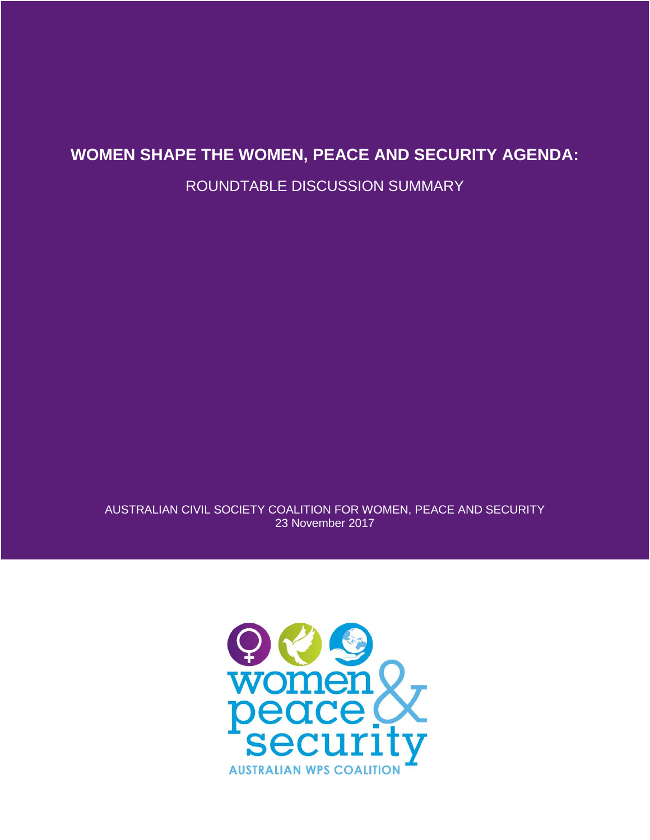## **WOMEN SHAPE THE WOMEN, PEACE AND SECURITY AGENDA:**

ROUNDTABLE DISCUSSION SUMMARY

AUSTRALIAN CIVIL SOCIETY COALITION FOR WOMEN, PEACE AND SECURITY 23 November 2017

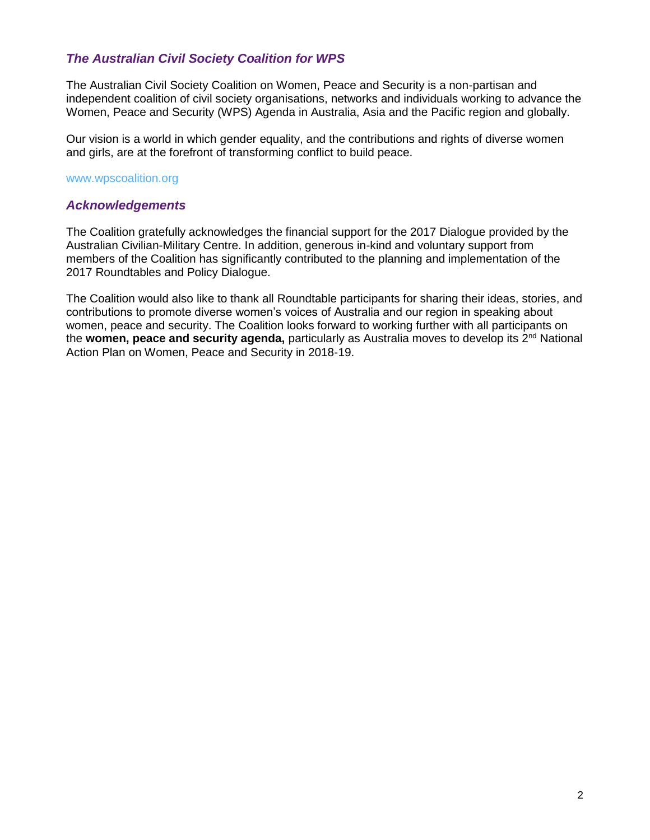### *The Australian Civil Society Coalition for WPS*

The Australian Civil Society Coalition on Women, Peace and Security is a non-partisan and independent coalition of civil society organisations, networks and individuals working to advance the Women, Peace and Security (WPS) Agenda in Australia, Asia and the Pacific region and globally.

Our vision is a world in which gender equality, and the contributions and rights of diverse women and girls, are at the forefront of transforming conflict to build peace.

#### www.wpscoalition.org

#### *Acknowledgements*

The Coalition gratefully acknowledges the financial support for the 2017 Dialogue provided by the Australian Civilian-Military Centre. In addition, generous in-kind and voluntary support from members of the Coalition has significantly contributed to the planning and implementation of the 2017 Roundtables and Policy Dialogue.

The Coalition would also like to thank all Roundtable participants for sharing their ideas, stories, and contributions to promote diverse women's voices of Australia and our region in speaking about women, peace and security. The Coalition looks forward to working further with all participants on the **women, peace and security agenda,** particularly as Australia moves to develop its 2nd National Action Plan on Women, Peace and Security in 2018-19.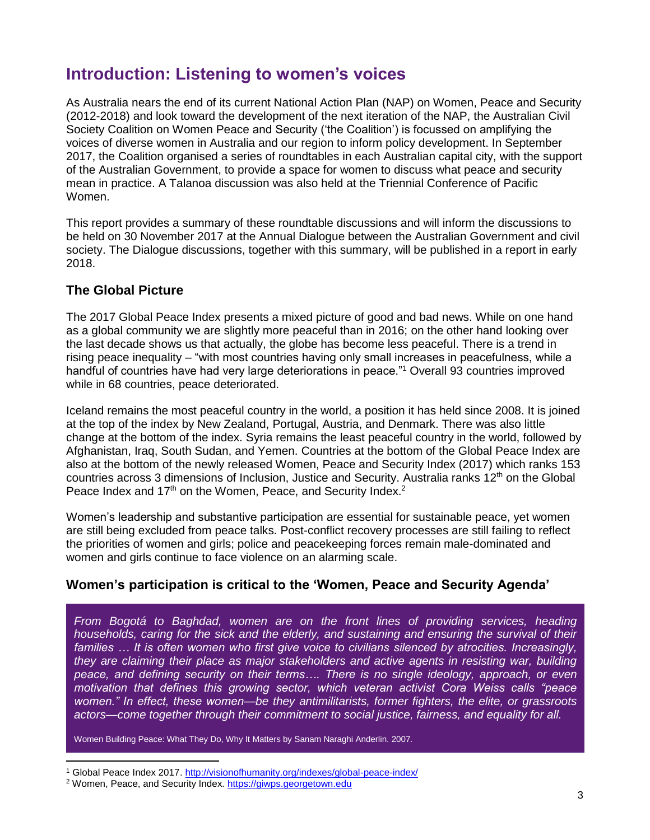# **Introduction: Listening to women's voices**

As Australia nears the end of its current National Action Plan (NAP) on Women, Peace and Security (2012-2018) and look toward the development of the next iteration of the NAP, the Australian Civil Society Coalition on Women Peace and Security ('the Coalition') is focussed on amplifying the voices of diverse women in Australia and our region to inform policy development. In September 2017, the Coalition organised a series of roundtables in each Australian capital city, with the support of the Australian Government, to provide a space for women to discuss what peace and security mean in practice. A Talanoa discussion was also held at the Triennial Conference of Pacific Women.

This report provides a summary of these roundtable discussions and will inform the discussions to be held on 30 November 2017 at the Annual Dialogue between the Australian Government and civil society. The Dialogue discussions, together with this summary, will be published in a report in early 2018.

## **The Global Picture**

The 2017 Global Peace Index presents a mixed picture of good and bad news. While on one hand as a global community we are slightly more peaceful than in 2016; on the other hand looking over the last decade shows us that actually, the globe has become less peaceful. There is a trend in rising peace inequality – "with most countries having only small increases in peacefulness, while a handful of countries have had very large deteriorations in peace."<sup>1</sup> Overall 93 countries improved while in 68 countries, peace deteriorated.

Iceland remains the most peaceful country in the world, a position it has held since 2008. It is joined at the top of the index by New Zealand, Portugal, Austria, and Denmark. There was also little change at the bottom of the index. Syria remains the least peaceful country in the world, followed by Afghanistan, Iraq, South Sudan, and Yemen. Countries at the bottom of the Global Peace Index are also at the bottom of the newly released Women, Peace and Security Index (2017) which ranks 153 countries across 3 dimensions of Inclusion, Justice and Security. Australia ranks  $12<sup>th</sup>$  on the Global Peace Index and 17<sup>th</sup> on the Women, Peace, and Security Index.<sup>2</sup>

Women's leadership and substantive participation are essential for sustainable peace, yet women are still being excluded from peace talks. Post-conflict recovery processes are still failing to reflect the priorities of women and girls; police and peacekeeping forces remain male-dominated and women and girls continue to face violence on an alarming scale.

## **Women's participation is critical to the 'Women, Peace and Security Agenda'**

*From Bogotá to Baghdad, women are on the front lines of providing services, heading households, caring for the sick and the elderly, and sustaining and ensuring the survival of their* families ... It is often women who first give voice to civilians silenced by atrocities. Increasingly, *they are claiming their place as major stakeholders and active agents in resisting war, building peace, and defining security on their terms…. There is no single ideology, approach, or even motivation that defines this growing sector, which veteran activist Cora Weiss calls "peace women." In effect, these women—be they antimilitarists, former fighters, the elite, or grassroots actors—come together through their commitment to social justice, fairness, and equality for all.*

Women Building Peace: What They Do, Why It Matters by Sanam Naraghi Anderlin. 2007.

 $\overline{a}$ 

Global Peace Index 2017.<http://visionofhumanity.org/indexes/global-peace-index/>

<sup>2</sup> Women, Peace, and Security Index. [https://giwps.georgetown.edu](https://giwps.georgetown.edu/)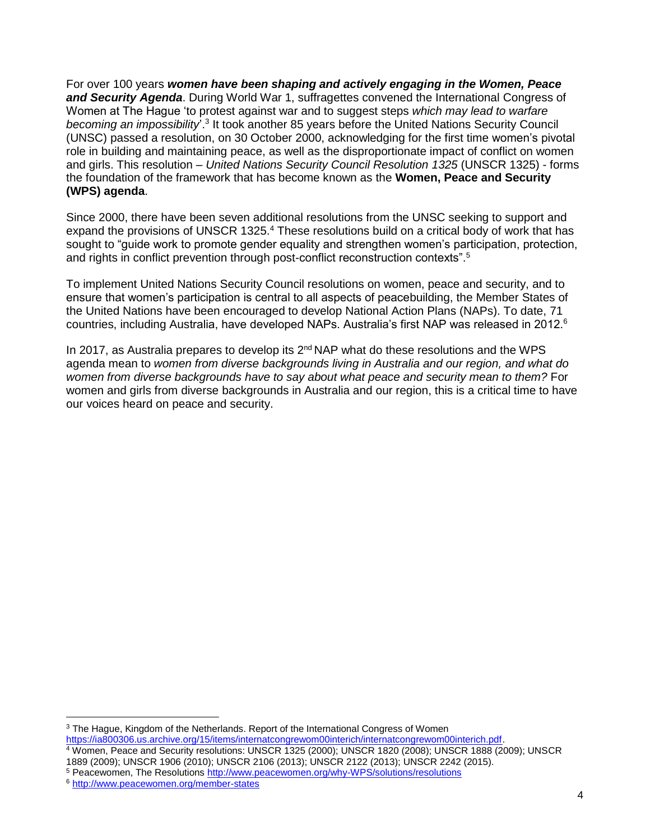For over 100 years *women have been shaping and actively engaging in the Women, Peace and Security Agenda*. During World War 1, suffragettes convened the International Congress of Women at The Hague 'to protest against war and to suggest steps *which may lead to warfare*  becoming an impossibility<sup>'.3</sup> It took another 85 years before the United Nations Security Council (UNSC) passed a resolution, on 30 October 2000, acknowledging for the first time women's pivotal role in building and maintaining peace, as well as the disproportionate impact of conflict on women and girls. This resolution – *United Nations Security Council Resolution 1325* (UNSCR 1325) - forms the foundation of the framework that has become known as the **Women, Peace and Security (WPS) agenda**.

Since 2000, there have been seven additional resolutions from the UNSC seeking to support and expand the provisions of UNSCR 1325.<sup>4</sup> These resolutions build on a critical body of work that has sought to "guide work to promote gender equality and strengthen women's participation, protection, and rights in conflict prevention through post-conflict reconstruction contexts".<sup>5</sup>

To implement United Nations Security Council resolutions on women, peace and security, and to ensure that women's participation is central to all aspects of peacebuilding, the Member States of the United Nations have been encouraged to develop National Action Plans (NAPs). To date, 71 countries, including Australia, have developed NAPs. Australia's first NAP was released in 2012.<sup>6</sup>

In 2017, as Australia prepares to develop its  $2^{nd}$  NAP what do these resolutions and the WPS agenda mean to *women from diverse backgrounds living in Australia and our region, and what do women from diverse backgrounds have to say about what peace and security mean to them?* For women and girls from diverse backgrounds in Australia and our region, this is a critical time to have our voices heard on peace and security.

 $\overline{a}$ 

<sup>&</sup>lt;sup>3</sup> The Hague, Kingdom of the Netherlands. Report of the International Congress of Women [https://ia800306.us.archive.org/15/items/internatcongrewom00interich/internatcongrewom00interich.pdf.](https://ia800306.us.archive.org/15/items/internatcongrewom00interich/internatcongrewom00interich.pdf)

<sup>4</sup> Women, Peace and Security resolutions: UNSCR 1325 (2000); UNSCR 1820 (2008); UNSCR 1888 (2009); UNSCR 1889 (2009); UNSCR 1906 (2010); UNSCR 2106 (2013); UNSCR 2122 (2013); UNSCR 2242 (2015).

<sup>5</sup> Peacewomen, The Resolutions<http://www.peacewomen.org/why-WPS/solutions/resolutions>

<sup>6</sup> <http://www.peacewomen.org/member-states>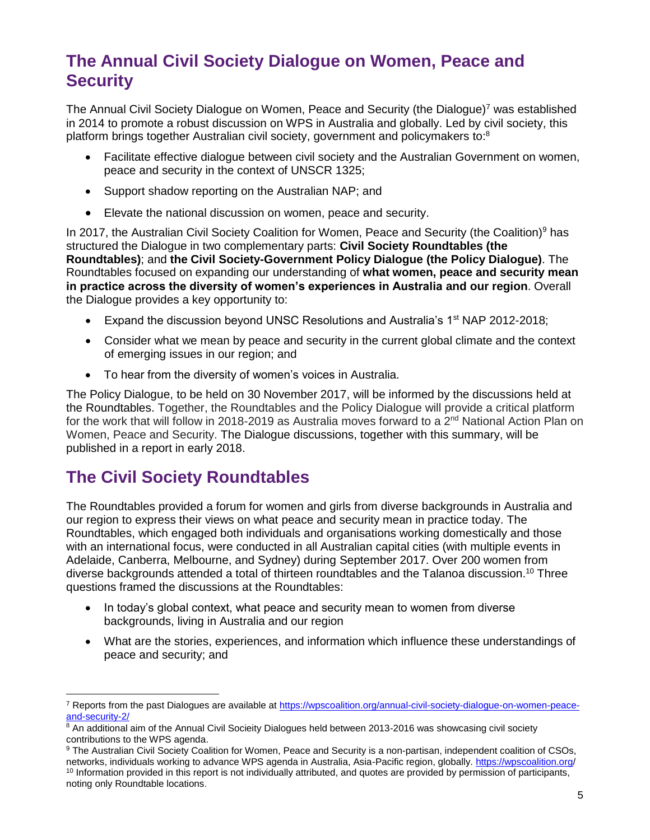# **The Annual Civil Society Dialogue on Women, Peace and Security**

The Annual Civil Society Dialogue on Women, Peace and Security (the Dialogue)<sup>7</sup> was established in 2014 to promote a robust discussion on WPS in Australia and globally. Led by civil society, this platform brings together Australian civil society, government and policymakers to:<sup>8</sup>

- Facilitate effective dialogue between civil society and the Australian Government on women, peace and security in the context of UNSCR 1325;
- Support shadow reporting on the Australian NAP; and
- Elevate the national discussion on women, peace and security.

In 2017, the Australian Civil Society Coalition for Women, Peace and Security (the Coalition)<sup>9</sup> has structured the Dialogue in two complementary parts: **Civil Society Roundtables (the Roundtables)**; and **the Civil Society-Government Policy Dialogue (the Policy Dialogue)**. The Roundtables focused on expanding our understanding of **what women, peace and security mean in practice across the diversity of women's experiences in Australia and our region**. Overall the Dialogue provides a key opportunity to:

- Expand the discussion beyond UNSC Resolutions and Australia's  $1<sup>st</sup> NAP 2012-2018$ ;
- Consider what we mean by peace and security in the current global climate and the context of emerging issues in our region; and
- To hear from the diversity of women's voices in Australia.

The Policy Dialogue, to be held on 30 November 2017, will be informed by the discussions held at the Roundtables. Together, the Roundtables and the Policy Dialogue will provide a critical platform for the work that will follow in 2018-2019 as Australia moves forward to a  $2<sup>nd</sup>$  National Action Plan on Women, Peace and Security. The Dialogue discussions, together with this summary, will be published in a report in early 2018.

# **The Civil Society Roundtables**

 $\overline{a}$ 

The Roundtables provided a forum for women and girls from diverse backgrounds in Australia and our region to express their views on what peace and security mean in practice today. The Roundtables, which engaged both individuals and organisations working domestically and those with an international focus, were conducted in all Australian capital cities (with multiple events in Adelaide, Canberra, Melbourne, and Sydney) during September 2017. Over 200 women from diverse backgrounds attended a total of thirteen roundtables and the Talanoa discussion. <sup>10</sup> Three questions framed the discussions at the Roundtables:

- In today's global context, what peace and security mean to women from diverse backgrounds, living in Australia and our region
- What are the stories, experiences, and information which influence these understandings of peace and security; and

<sup>7</sup> Reports from the past Dialogues are available at [https://wpscoalition.org/annual-civil-society-dialogue-on-women-peace](https://wpscoalition.org/annual-civil-society-dialogue-on-women-peace-and-security-2/)[and-security-2/](https://wpscoalition.org/annual-civil-society-dialogue-on-women-peace-and-security-2/)

 $8$  An additional aim of the Annual Civil Socieity Dialogues held between 2013-2016 was showcasing civil society contributions to the WPS agenda.

<sup>9</sup> The Australian Civil Society Coalition for Women, Peace and Security is a non-partisan, independent coalition of CSOs, networks, individuals working to advance WPS agenda in Australia, Asia-Pacific region, globally.<https://wpscoalition.org/> <sup>10</sup> Information provided in this report is not individually attributed, and quotes are provided by permission of participants, noting only Roundtable locations.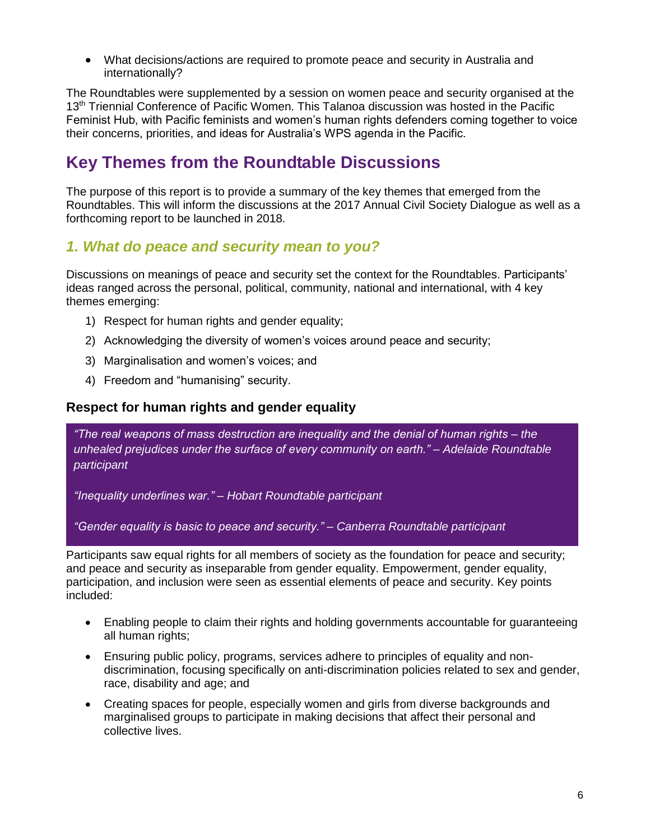What decisions/actions are required to promote peace and security in Australia and internationally?

The Roundtables were supplemented by a session on women peace and security organised at the 13<sup>th</sup> Triennial Conference of Pacific Women. This Talanoa discussion was hosted in the Pacific Feminist Hub, with Pacific feminists and women's human rights defenders coming together to voice their concerns, priorities, and ideas for Australia's WPS agenda in the Pacific.

# **Key Themes from the Roundtable Discussions**

The purpose of this report is to provide a summary of the key themes that emerged from the Roundtables. This will inform the discussions at the 2017 Annual Civil Society Dialogue as well as a forthcoming report to be launched in 2018.

## *1. What do peace and security mean to you?*

Discussions on meanings of peace and security set the context for the Roundtables. Participants' ideas ranged across the personal, political, community, national and international, with 4 key themes emerging:

- 1) Respect for human rights and gender equality;
- 2) Acknowledging the diversity of women's voices around peace and security;
- 3) Marginalisation and women's voices; and
- 4) Freedom and "humanising" security.

### **Respect for human rights and gender equality**

*"The real weapons of mass destruction are inequality and the denial of human rights – the unhealed prejudices under the surface of every community on earth." – Adelaide Roundtable participant*

*"Inequality underlines war." – Hobart Roundtable participant*

*"Gender equality is basic to peace and security." – Canberra Roundtable participant*

Participants saw equal rights for all members of society as the foundation for peace and security; and peace and security as inseparable from gender equality. Empowerment, gender equality, participation, and inclusion were seen as essential elements of peace and security. Key points included:

- Enabling people to claim their rights and holding governments accountable for guaranteeing all human rights;
- Ensuring public policy, programs, services adhere to principles of equality and nondiscrimination, focusing specifically on anti-discrimination policies related to sex and gender, race, disability and age; and
- Creating spaces for people, especially women and girls from diverse backgrounds and marginalised groups to participate in making decisions that affect their personal and collective lives.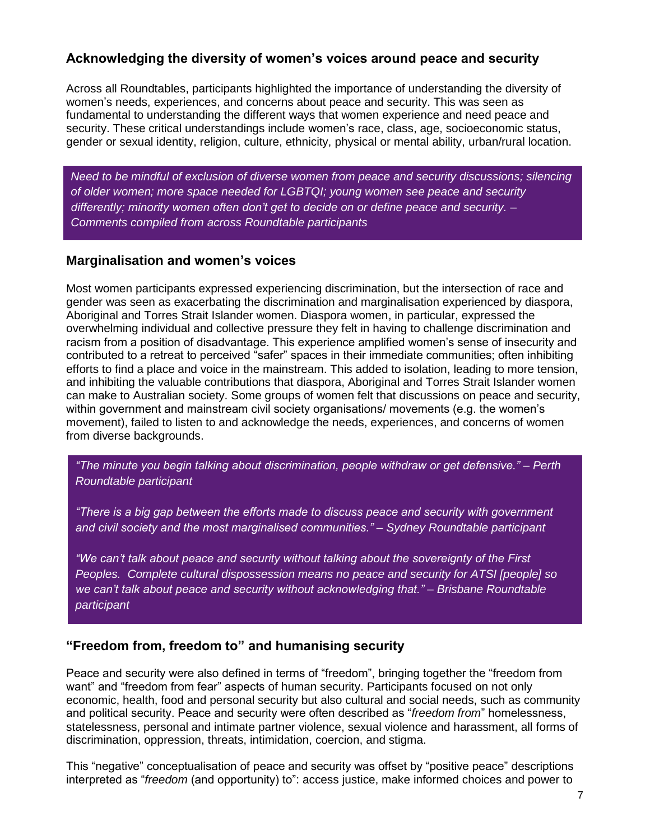## **Acknowledging the diversity of women's voices around peace and security**

Across all Roundtables, participants highlighted the importance of understanding the diversity of women's needs, experiences, and concerns about peace and security. This was seen as fundamental to understanding the different ways that women experience and need peace and security. These critical understandings include women's race, class, age, socioeconomic status, gender or sexual identity, religion, culture, ethnicity, physical or mental ability, urban/rural location.

*Need to be mindful of exclusion of diverse women from peace and security discussions; silencing of older women; more space needed for LGBTQI; young women see peace and security differently; minority women often don't get to decide on or define peace and security. – Comments compiled from across Roundtable participants*

### **Marginalisation and women's voices**

Most women participants expressed experiencing discrimination, but the intersection of race and gender was seen as exacerbating the discrimination and marginalisation experienced by diaspora, Aboriginal and Torres Strait Islander women. Diaspora women, in particular, expressed the overwhelming individual and collective pressure they felt in having to challenge discrimination and racism from a position of disadvantage. This experience amplified women's sense of insecurity and contributed to a retreat to perceived "safer" spaces in their immediate communities; often inhibiting efforts to find a place and voice in the mainstream. This added to isolation, leading to more tension, and inhibiting the valuable contributions that diaspora, Aboriginal and Torres Strait Islander women can make to Australian society. Some groups of women felt that discussions on peace and security, within government and mainstream civil society organisations/ movements (e.g. the women's movement), failed to listen to and acknowledge the needs, experiences, and concerns of women from diverse backgrounds.

*"The minute you begin talking about discrimination, people withdraw or get defensive." – Perth Roundtable participant*

*"There is a big gap between the efforts made to discuss peace and security with government and civil society and the most marginalised communities." – Sydney Roundtable participant*

*"We can't talk about peace and security without talking about the sovereignty of the First Peoples. Complete cultural dispossession means no peace and security for ATSI [people] so we can't talk about peace and security without acknowledging that." – Brisbane Roundtable participant*

## **"Freedom from, freedom to" and humanising security**

Peace and security were also defined in terms of "freedom", bringing together the "freedom from want" and "freedom from fear" aspects of human security. Participants focused on not only economic, health, food and personal security but also cultural and social needs, such as community and political security. Peace and security were often described as "*freedom from*" homelessness, statelessness, personal and intimate partner violence, sexual violence and harassment, all forms of discrimination, oppression, threats, intimidation, coercion, and stigma.

This "negative" conceptualisation of peace and security was offset by "positive peace" descriptions interpreted as "*freedom* (and opportunity) to": access justice, make informed choices and power to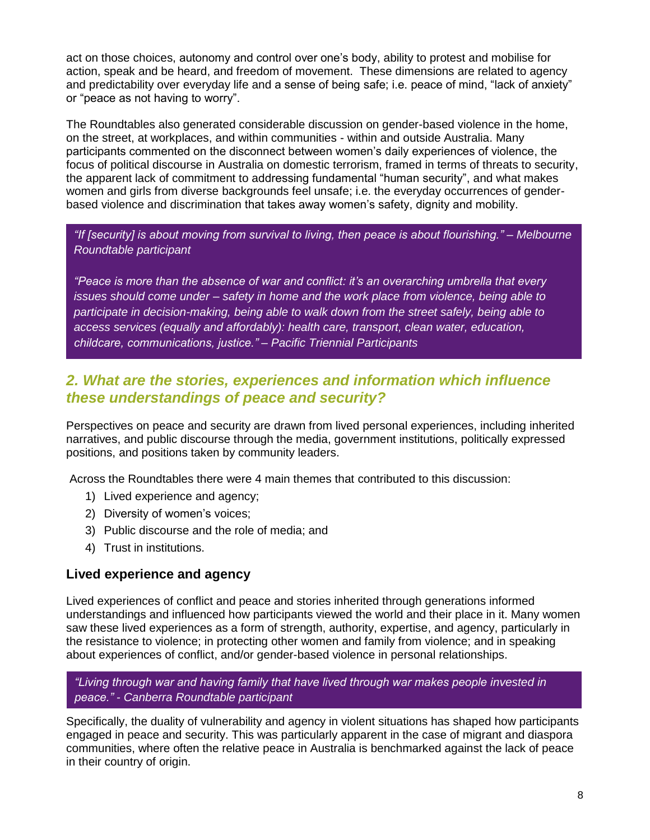act on those choices, autonomy and control over one's body, ability to protest and mobilise for action, speak and be heard, and freedom of movement. These dimensions are related to agency and predictability over everyday life and a sense of being safe; i.e. peace of mind, "lack of anxiety" or "peace as not having to worry".

The Roundtables also generated considerable discussion on gender-based violence in the home, on the street, at workplaces, and within communities - within and outside Australia. Many participants commented on the disconnect between women's daily experiences of violence, the focus of political discourse in Australia on domestic terrorism, framed in terms of threats to security, the apparent lack of commitment to addressing fundamental "human security", and what makes women and girls from diverse backgrounds feel unsafe; i.e. the everyday occurrences of genderbased violence and discrimination that takes away women's safety, dignity and mobility.

*"If [security] is about moving from survival to living, then peace is about flourishing." – Melbourne Roundtable participant*

*"Peace is more than the absence of war and conflict: it's an overarching umbrella that every issues should come under – safety in home and the work place from violence, being able to participate in decision-making, being able to walk down from the street safely, being able to access services (equally and affordably): health care, transport, clean water, education, childcare, communications, justice." – Pacific Triennial Participants*

## *2. What are the stories, experiences and information which influence these understandings of peace and security?*

Perspectives on peace and security are drawn from lived personal experiences, including inherited narratives, and public discourse through the media, government institutions, politically expressed positions, and positions taken by community leaders.

Across the Roundtables there were 4 main themes that contributed to this discussion:

- 1) Lived experience and agency;
- 2) Diversity of women's voices;
- 3) Public discourse and the role of media; and
- 4) Trust in institutions.

### **Lived experience and agency**

Lived experiences of conflict and peace and stories inherited through generations informed understandings and influenced how participants viewed the world and their place in it. Many women saw these lived experiences as a form of strength, authority, expertise, and agency, particularly in the resistance to violence; in protecting other women and family from violence; and in speaking about experiences of conflict, and/or gender-based violence in personal relationships.

#### *"Living through war and having family that have lived through war makes people invested in peace." - Canberra Roundtable participant*

Specifically, the duality of vulnerability and agency in violent situations has shaped how participants engaged in peace and security. This was particularly apparent in the case of migrant and diaspora communities, where often the relative peace in Australia is benchmarked against the lack of peace in their country of origin.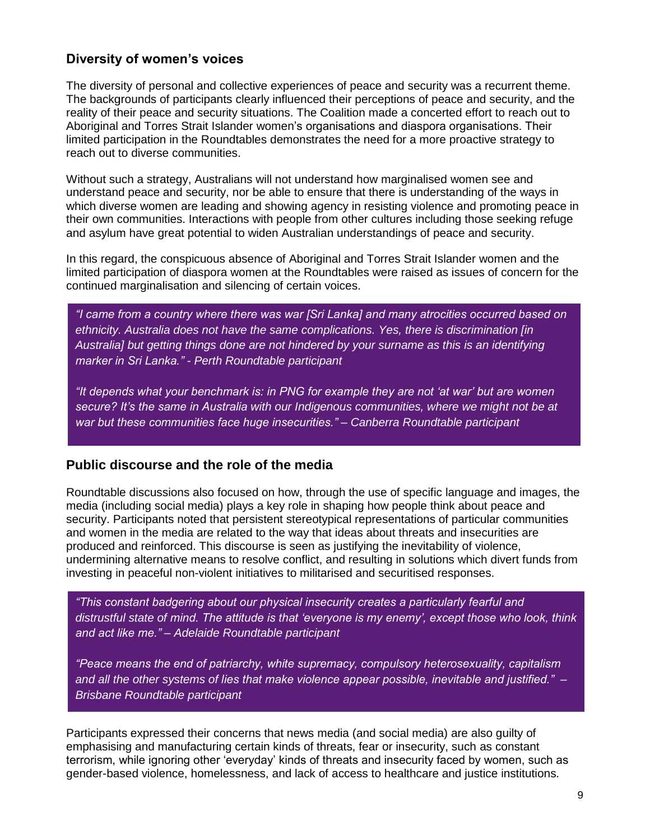### **Diversity of women's voices**

The diversity of personal and collective experiences of peace and security was a recurrent theme. The backgrounds of participants clearly influenced their perceptions of peace and security, and the reality of their peace and security situations. The Coalition made a concerted effort to reach out to Aboriginal and Torres Strait Islander women's organisations and diaspora organisations. Their limited participation in the Roundtables demonstrates the need for a more proactive strategy to reach out to diverse communities.

Without such a strategy, Australians will not understand how marginalised women see and understand peace and security, nor be able to ensure that there is understanding of the ways in which diverse women are leading and showing agency in resisting violence and promoting peace in their own communities. Interactions with people from other cultures including those seeking refuge and asylum have great potential to widen Australian understandings of peace and security.

In this regard, the conspicuous absence of Aboriginal and Torres Strait Islander women and the limited participation of diaspora women at the Roundtables were raised as issues of concern for the continued marginalisation and silencing of certain voices.

*"I came from a country where there was war [Sri Lanka] and many atrocities occurred based on ethnicity. Australia does not have the same complications. Yes, there is discrimination [in Australia] but getting things done are not hindered by your surname as this is an identifying marker in Sri Lanka." - Perth Roundtable participant*

*"It depends what your benchmark is: in PNG for example they are not 'at war' but are women secure? It's the same in Australia with our Indigenous communities, where we might not be at war but these communities face huge insecurities." – Canberra Roundtable participant*

#### **Public discourse and the role of the media**

Roundtable discussions also focused on how, through the use of specific language and images, the media (including social media) plays a key role in shaping how people think about peace and security. Participants noted that persistent stereotypical representations of particular communities and women in the media are related to the way that ideas about threats and insecurities are produced and reinforced. This discourse is seen as justifying the inevitability of violence, undermining alternative means to resolve conflict, and resulting in solutions which divert funds from investing in peaceful non-violent initiatives to militarised and securitised responses.

*"This constant badgering about our physical insecurity creates a particularly fearful and distrustful state of mind. The attitude is that 'everyone is my enemy', except those who look, think and act like me." – Adelaide Roundtable participant*

*"Peace means the end of patriarchy, white supremacy, compulsory heterosexuality, capitalism and all the other systems of lies that make violence appear possible, inevitable and justified." – Brisbane Roundtable participant*

Participants expressed their concerns that news media (and social media) are also guilty of emphasising and manufacturing certain kinds of threats, fear or insecurity, such as constant terrorism, while ignoring other 'everyday' kinds of threats and insecurity faced by women, such as gender-based violence, homelessness, and lack of access to healthcare and justice institutions.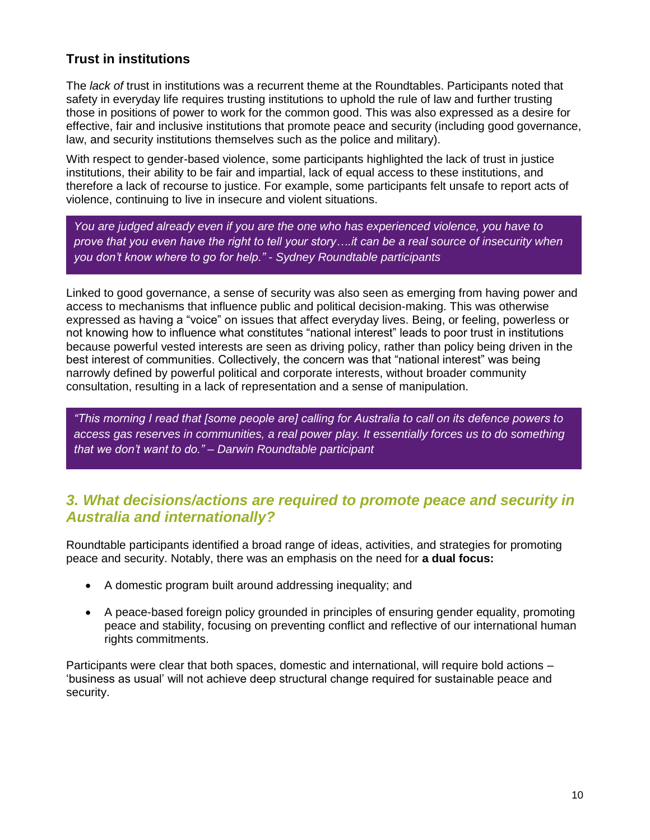## **Trust in institutions**

The *lack of* trust in institutions was a recurrent theme at the Roundtables. Participants noted that safety in everyday life requires trusting institutions to uphold the rule of law and further trusting those in positions of power to work for the common good. This was also expressed as a desire for effective, fair and inclusive institutions that promote peace and security (including good governance, law, and security institutions themselves such as the police and military).

With respect to gender-based violence, some participants highlighted the lack of trust in justice institutions, their ability to be fair and impartial, lack of equal access to these institutions, and therefore a lack of recourse to justice. For example, some participants felt unsafe to report acts of violence, continuing to live in insecure and violent situations.

*You are judged already even if you are the one who has experienced violence, you have to prove that you even have the right to tell your story….it can be a real source of insecurity when you don't know where to go for help." - Sydney Roundtable participants*

Linked to good governance, a sense of security was also seen as emerging from having power and access to mechanisms that influence public and political decision-making. This was otherwise expressed as having a "voice" on issues that affect everyday lives. Being, or feeling, powerless or not knowing how to influence what constitutes "national interest" leads to poor trust in institutions because powerful vested interests are seen as driving policy, rather than policy being driven in the best interest of communities. Collectively, the concern was that "national interest" was being narrowly defined by powerful political and corporate interests, without broader community consultation, resulting in a lack of representation and a sense of manipulation.

*"This morning I read that [some people are] calling for Australia to call on its defence powers to access gas reserves in communities, a real power play. It essentially forces us to do something that we don't want to do." – Darwin Roundtable participant*

## *3. What decisions/actions are required to promote peace and security in Australia and internationally?*

Roundtable participants identified a broad range of ideas, activities, and strategies for promoting peace and security. Notably, there was an emphasis on the need for **a dual focus:**

- A domestic program built around addressing inequality; and
- A peace-based foreign policy grounded in principles of ensuring gender equality, promoting peace and stability, focusing on preventing conflict and reflective of our international human rights commitments.

Participants were clear that both spaces, domestic and international, will require bold actions – 'business as usual' will not achieve deep structural change required for sustainable peace and security.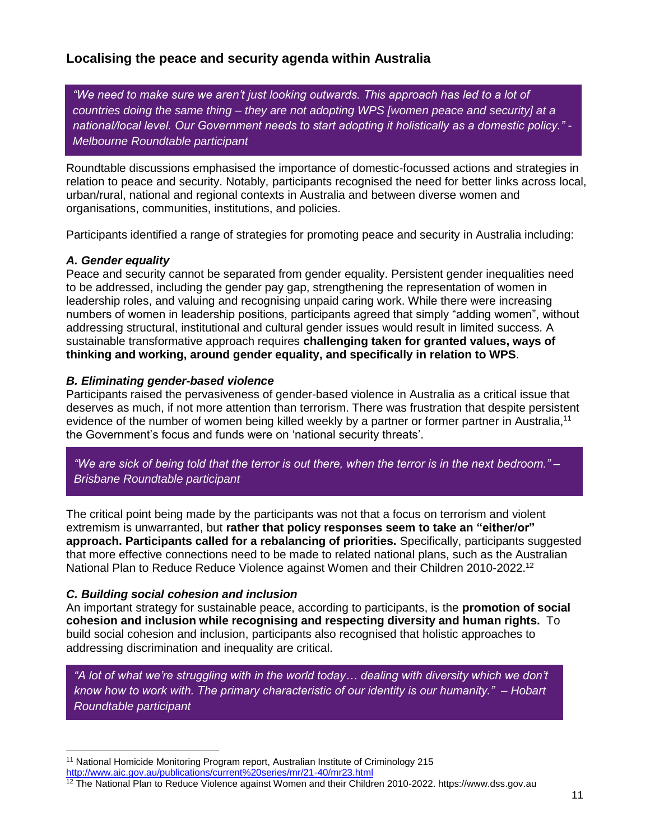## **Localising the peace and security agenda within Australia**

*"We need to make sure we aren't just looking outwards. This approach has led to a lot of countries doing the same thing – they are not adopting WPS [women peace and security] at a national/local level. Our Government needs to start adopting it holistically as a domestic policy." - Melbourne Roundtable participant*

Roundtable discussions emphasised the importance of domestic-focussed actions and strategies in relation to peace and security. Notably, participants recognised the need for better links across local, urban/rural, national and regional contexts in Australia and between diverse women and organisations, communities, institutions, and policies.

Participants identified a range of strategies for promoting peace and security in Australia including:

#### *A. Gender equality*

Peace and security cannot be separated from gender equality. Persistent gender inequalities need to be addressed, including the gender pay gap, strengthening the representation of women in leadership roles, and valuing and recognising unpaid caring work. While there were increasing numbers of women in leadership positions, participants agreed that simply "adding women", without addressing structural, institutional and cultural gender issues would result in limited success. A sustainable transformative approach requires **challenging taken for granted values, ways of thinking and working, around gender equality, and specifically in relation to WPS**.

#### *B. Eliminating gender-based violence*

Participants raised the pervasiveness of gender-based violence in Australia as a critical issue that deserves as much, if not more attention than terrorism. There was frustration that despite persistent evidence of the number of women being killed weekly by a partner or former partner in Australia,<sup>11</sup> the Government's focus and funds were on 'national security threats'.

*"We are sick of being told that the terror is out there, when the terror is in the next bedroom." – Brisbane Roundtable participant*

The critical point being made by the participants was not that a focus on terrorism and violent extremism is unwarranted, but **rather that policy responses seem to take an "either/or" approach. Participants called for a rebalancing of priorities.** Specifically, participants suggested that more effective connections need to be made to related national plans, such as the Australian National Plan to Reduce Reduce Violence against Women and their Children 2010-2022.<sup>12</sup>

#### *C. Building social cohesion and inclusion*

 $\overline{a}$ 

An important strategy for sustainable peace, according to participants, is the **promotion of social cohesion and inclusion while recognising and respecting diversity and human rights.** To build social cohesion and inclusion, participants also recognised that holistic approaches to addressing discrimination and inequality are critical.

*"A lot of what we're struggling with in the world today… dealing with diversity which we don't know how to work with. The primary characteristic of our identity is our humanity." – Hobart Roundtable participant*

<sup>11</sup> National Homicide Monitoring Program report, Australian Institute of Criminology 215

<http://www.aic.gov.au/publications/current%20series/mr/21-40/mr23.html>

<sup>&</sup>lt;sup>12</sup> The National Plan to Reduce Violence against Women and their Children 2010-2022. https://www.dss.gov.au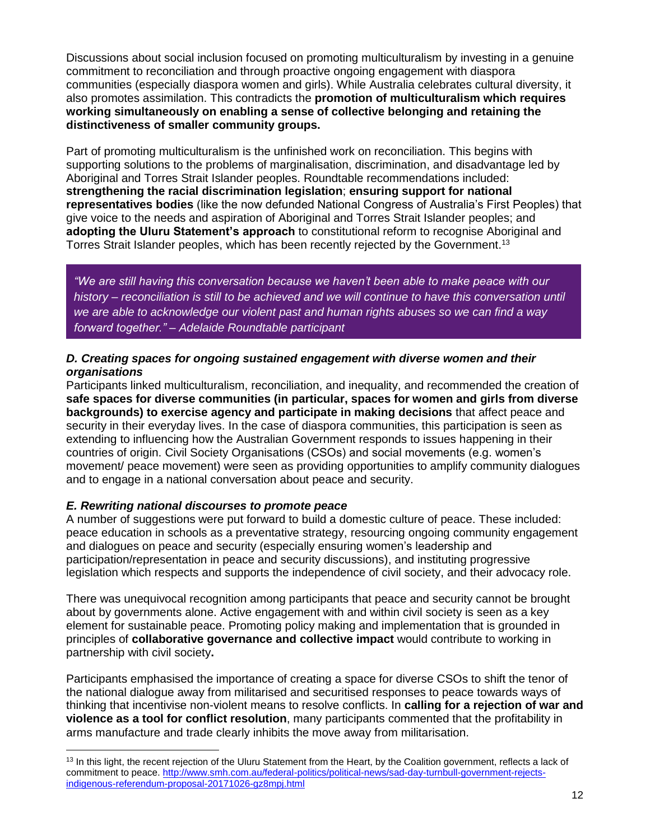Discussions about social inclusion focused on promoting multiculturalism by investing in a genuine commitment to reconciliation and through proactive ongoing engagement with diaspora communities (especially diaspora women and girls). While Australia celebrates cultural diversity, it also promotes assimilation. This contradicts the **promotion of multiculturalism which requires working simultaneously on enabling a sense of collective belonging and retaining the distinctiveness of smaller community groups.**

Part of promoting multiculturalism is the unfinished work on reconciliation. This begins with supporting solutions to the problems of marginalisation, discrimination, and disadvantage led by Aboriginal and Torres Strait Islander peoples. Roundtable recommendations included: **strengthening the racial discrimination legislation**; **ensuring support for national representatives bodies** (like the now defunded National Congress of Australia's First Peoples) that give voice to the needs and aspiration of Aboriginal and Torres Strait Islander peoples; and **adopting the Uluru Statement's approach** to constitutional reform to recognise Aboriginal and Torres Strait Islander peoples, which has been recently rejected by the Government.<sup>13</sup>

*"We are still having this conversation because we haven't been able to make peace with our history – reconciliation is still to be achieved and we will continue to have this conversation until we are able to acknowledge our violent past and human rights abuses so we can find a way forward together." – Adelaide Roundtable participant*

#### *D. Creating spaces for ongoing sustained engagement with diverse women and their organisations*

Participants linked multiculturalism, reconciliation, and inequality, and recommended the creation of **safe spaces for diverse communities (in particular, spaces for women and girls from diverse backgrounds) to exercise agency and participate in making decisions** that affect peace and security in their everyday lives. In the case of diaspora communities, this participation is seen as extending to influencing how the Australian Government responds to issues happening in their countries of origin. Civil Society Organisations (CSOs) and social movements (e.g. women's movement/ peace movement) were seen as providing opportunities to amplify community dialogues and to engage in a national conversation about peace and security.

### *E. Rewriting national discourses to promote peace*

 $\overline{a}$ 

A number of suggestions were put forward to build a domestic culture of peace. These included: peace education in schools as a preventative strategy, resourcing ongoing community engagement and dialogues on peace and security (especially ensuring women's leadership and participation/representation in peace and security discussions), and instituting progressive legislation which respects and supports the independence of civil society, and their advocacy role.

There was unequivocal recognition among participants that peace and security cannot be brought about by governments alone. Active engagement with and within civil society is seen as a key element for sustainable peace. Promoting policy making and implementation that is grounded in principles of **collaborative governance and collective impact** would contribute to working in partnership with civil society**.** 

Participants emphasised the importance of creating a space for diverse CSOs to shift the tenor of the national dialogue away from militarised and securitised responses to peace towards ways of thinking that incentivise non-violent means to resolve conflicts. In **calling for a rejection of war and violence as a tool for conflict resolution**, many participants commented that the profitability in arms manufacture and trade clearly inhibits the move away from militarisation.

<sup>&</sup>lt;sup>13</sup> In this light, the recent rejection of the Uluru Statement from the Heart, by the Coalition government, reflects a lack of commitment to peace[. http://www.smh.com.au/federal-politics/political-news/sad-day-turnbull-government-rejects](http://www.smh.com.au/federal-politics/political-news/sad-day-turnbull-government-rejects-indigenous-referendum-proposal-20171026-gz8mpj.html)[indigenous-referendum-proposal-20171026-gz8mpj.html](http://www.smh.com.au/federal-politics/political-news/sad-day-turnbull-government-rejects-indigenous-referendum-proposal-20171026-gz8mpj.html)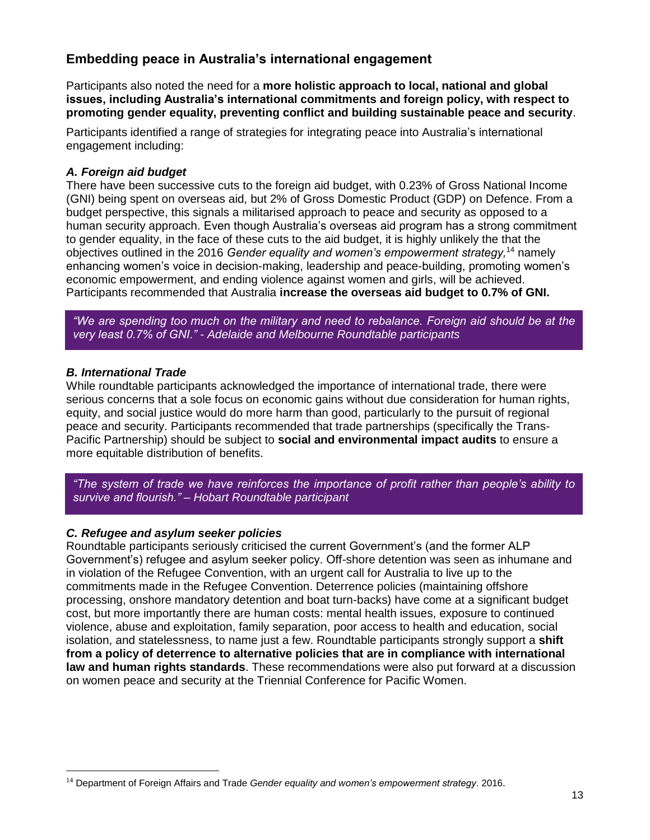## **Embedding peace in Australia's international engagement**

Participants also noted the need for a **more holistic approach to local, national and global issues, including Australia's international commitments and foreign policy, with respect to promoting gender equality, preventing conflict and building sustainable peace and security**.

Participants identified a range of strategies for integrating peace into Australia's international engagement including:

#### *A. Foreign aid budget*

There have been successive cuts to the foreign aid budget, with 0.23% of Gross National Income (GNI) being spent on overseas aid, but 2% of Gross Domestic Product (GDP) on Defence. From a budget perspective, this signals a militarised approach to peace and security as opposed to a human security approach. Even though Australia's overseas aid program has a strong commitment to gender equality, in the face of these cuts to the aid budget, it is highly unlikely the that the objectives outlined in the 2016 *[Gender equality and women's empowerment strategy,](http://dfat.gov.au/about-us/publications/Documents/gender-equality-and-womens-empowerment-strategy.pdf)* <sup>14</sup> namely enhancing women's voice in decision-making, leadership and peace-building, promoting women's economic empowerment, and ending violence against women and girls, will be achieved. Participants recommended that Australia **increase the overseas aid budget to 0.7% of GNI.**

*"We are spending too much on the military and need to rebalance. Foreign aid should be at the very least 0.7% of GNI." - Adelaide and Melbourne Roundtable participants*

#### *B. International Trade*

 $\overline{a}$ 

While roundtable participants acknowledged the importance of international trade, there were serious concerns that a sole focus on economic gains without due consideration for human rights, equity, and social justice would do more harm than good, particularly to the pursuit of regional peace and security. Participants recommended that trade partnerships (specifically the Trans-Pacific Partnership) should be subject to **social and environmental impact audits** to ensure a more equitable distribution of benefits.

*"The system of trade we have reinforces the importance of profit rather than people's ability to survive and flourish." – Hobart Roundtable participant* 

#### *C. Refugee and asylum seeker policies*

Roundtable participants seriously criticised the current Government's (and the former ALP Government's) refugee and asylum seeker policy. Off-shore detention was seen as inhumane and in violation of the Refugee Convention, with an urgent call for Australia to live up to the commitments made in the Refugee Convention. Deterrence policies (maintaining offshore processing, onshore mandatory detention and boat turn-backs) have come at a significant budget cost, but more importantly there are human costs: mental health issues, exposure to continued violence, abuse and exploitation, family separation, poor access to health and education, social isolation, and statelessness, to name just a few. Roundtable participants strongly support a **shift from a policy of deterrence to alternative policies that are in compliance with international law and human rights standards**. These recommendations were also put forward at a discussion on women peace and security at the Triennial Conference for Pacific Women.

<sup>14</sup> Department of Foreign Affairs and Trade *Gender equality and women's empowerment strategy*. 2016.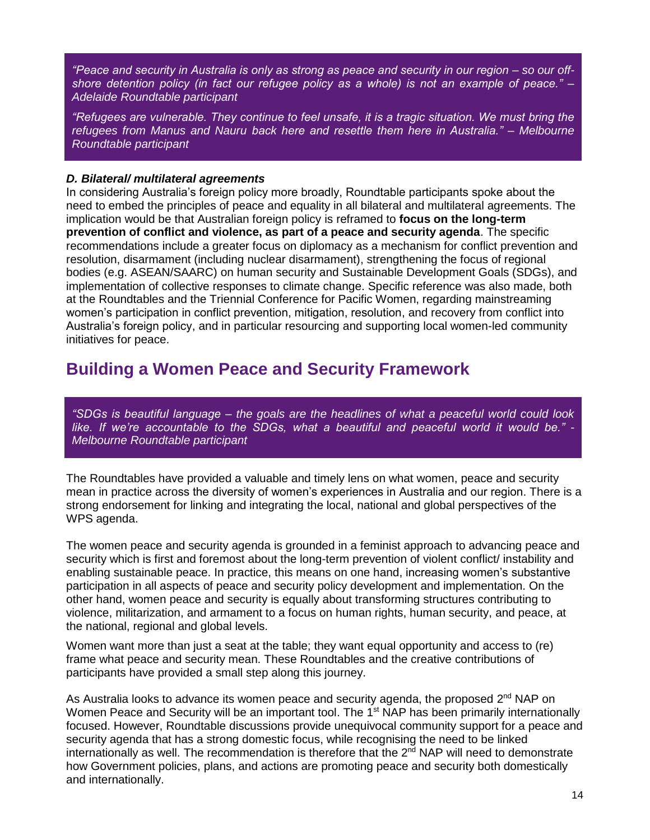*"Peace and security in Australia is only as strong as peace and security in our region – so our offshore detention policy (in fact our refugee policy as a whole) is not an example of peace." – Adelaide Roundtable participant*

*"Refugees are vulnerable. They continue to feel unsafe, it is a tragic situation. We must bring the refugees from Manus and Nauru back here and resettle them here in Australia." – Melbourne Roundtable participant*

#### *D. Bilateral/ multilateral agreements*

In considering Australia's foreign policy more broadly, Roundtable participants spoke about the need to embed the principles of peace and equality in all bilateral and multilateral agreements. The implication would be that Australian foreign policy is reframed to **focus on the long-term prevention of conflict and violence, as part of a peace and security agenda**. The specific recommendations include a greater focus on diplomacy as a mechanism for conflict prevention and resolution, disarmament (including nuclear disarmament), strengthening the focus of regional bodies (e.g. ASEAN/SAARC) on human security and Sustainable Development Goals (SDGs), and implementation of collective responses to climate change. Specific reference was also made, both at the Roundtables and the Triennial Conference for Pacific Women, regarding mainstreaming women's participation in conflict prevention, mitigation, resolution, and recovery from conflict into Australia's foreign policy, and in particular resourcing and supporting local women-led community initiatives for peace.

## **Building a Women Peace and Security Framework**

*"SDGs is beautiful language – the goals are the headlines of what a peaceful world could look like. If we're accountable to the SDGs, what a beautiful and peaceful world it would be." - Melbourne Roundtable participant*

The Roundtables have provided a valuable and timely lens on what women, peace and security mean in practice across the diversity of women's experiences in Australia and our region. There is a strong endorsement for linking and integrating the local, national and global perspectives of the WPS agenda.

The women peace and security agenda is grounded in a feminist approach to advancing peace and security which is first and foremost about the long-term prevention of violent conflict/ instability and enabling sustainable peace. In practice, this means on one hand, increasing women's substantive participation in all aspects of peace and security policy development and implementation. On the other hand, women peace and security is equally about transforming structures contributing to violence, militarization, and armament to a focus on human rights, human security, and peace, at the national, regional and global levels.

Women want more than just a seat at the table; they want equal opportunity and access to (re) frame what peace and security mean. These Roundtables and the creative contributions of participants have provided a small step along this journey.

As Australia looks to advance its women peace and security agenda, the proposed 2<sup>nd</sup> NAP on Women Peace and Security will be an important tool. The 1<sup>st</sup> NAP has been primarily internationally focused. However, Roundtable discussions provide unequivocal community support for a peace and security agenda that has a strong domestic focus, while recognising the need to be linked internationally as well. The recommendation is therefore that the  $2<sup>nd</sup> NAP$  will need to demonstrate how Government policies, plans, and actions are promoting peace and security both domestically and internationally.